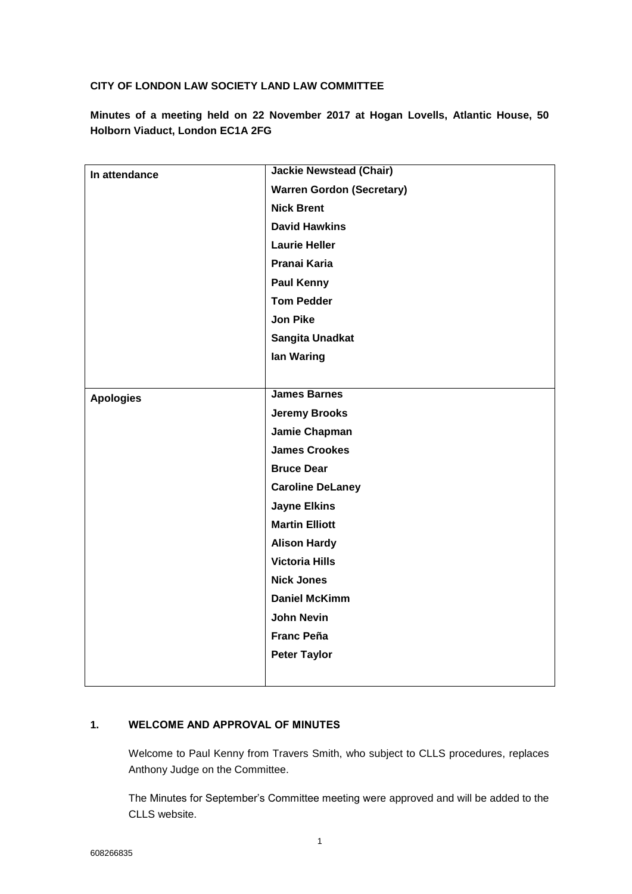### **CITY OF LONDON LAW SOCIETY LAND LAW COMMITTEE**

**Minutes of a meeting held on 22 November 2017 at Hogan Lovells, Atlantic House, 50 Holborn Viaduct, London EC1A 2FG**

| In attendance    | <b>Jackie Newstead (Chair)</b>   |
|------------------|----------------------------------|
|                  | <b>Warren Gordon (Secretary)</b> |
|                  | <b>Nick Brent</b>                |
|                  | <b>David Hawkins</b>             |
|                  | <b>Laurie Heller</b>             |
|                  | Pranai Karia                     |
|                  | <b>Paul Kenny</b>                |
|                  | <b>Tom Pedder</b>                |
|                  | <b>Jon Pike</b>                  |
|                  | Sangita Unadkat                  |
|                  | lan Waring                       |
|                  |                                  |
| <b>Apologies</b> | <b>James Barnes</b>              |
|                  | <b>Jeremy Brooks</b>             |
|                  | Jamie Chapman                    |
|                  | <b>James Crookes</b>             |
|                  | <b>Bruce Dear</b>                |
|                  | <b>Caroline DeLaney</b>          |
|                  | <b>Jayne Elkins</b>              |
|                  | <b>Martin Elliott</b>            |
|                  | <b>Alison Hardy</b>              |
|                  | <b>Victoria Hills</b>            |
|                  | <b>Nick Jones</b>                |
|                  | <b>Daniel McKimm</b>             |
|                  | <b>John Nevin</b>                |
|                  | <b>Franc Peña</b>                |
|                  | <b>Peter Taylor</b>              |
|                  |                                  |

## **1. WELCOME AND APPROVAL OF MINUTES**

Welcome to Paul Kenny from Travers Smith, who subject to CLLS procedures, replaces Anthony Judge on the Committee.

The Minutes for September's Committee meeting were approved and will be added to the CLLS website.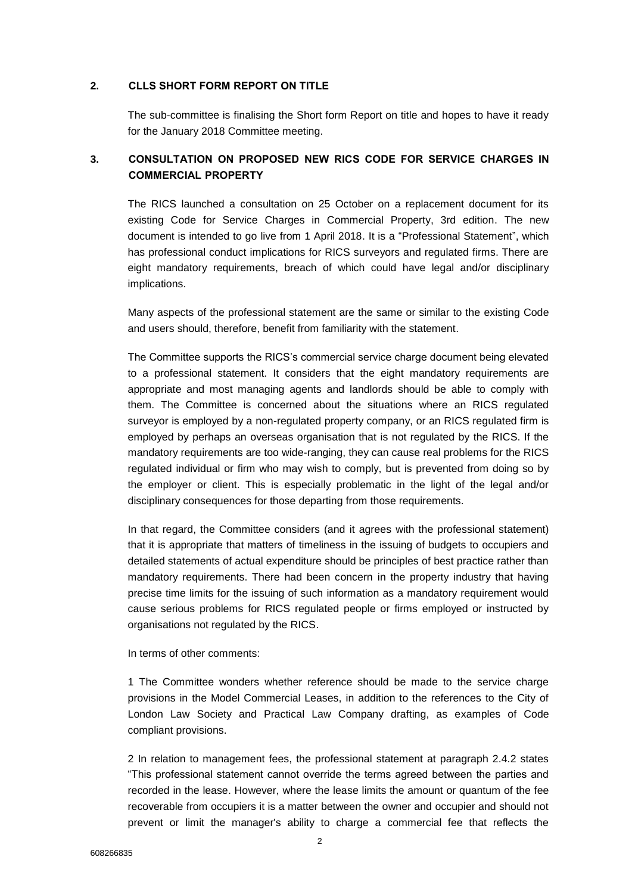#### **2. CLLS SHORT FORM REPORT ON TITLE**

The sub-committee is finalising the Short form Report on title and hopes to have it ready for the January 2018 Committee meeting.

# **3. CONSULTATION ON PROPOSED NEW RICS CODE FOR SERVICE CHARGES IN COMMERCIAL PROPERTY**

The RICS launched a consultation on 25 October on a replacement document for its existing Code for Service Charges in Commercial Property, 3rd edition. The new document is intended to go live from 1 April 2018. It is a "Professional Statement", which has professional conduct implications for RICS surveyors and regulated firms. There are eight mandatory requirements, breach of which could have legal and/or disciplinary implications.

Many aspects of the professional statement are the same or similar to the existing Code and users should, therefore, benefit from familiarity with the statement.

The Committee supports the RICS's commercial service charge document being elevated to a professional statement. It considers that the eight mandatory requirements are appropriate and most managing agents and landlords should be able to comply with them. The Committee is concerned about the situations where an RICS regulated surveyor is employed by a non-regulated property company, or an RICS regulated firm is employed by perhaps an overseas organisation that is not regulated by the RICS. If the mandatory requirements are too wide-ranging, they can cause real problems for the RICS regulated individual or firm who may wish to comply, but is prevented from doing so by the employer or client. This is especially problematic in the light of the legal and/or disciplinary consequences for those departing from those requirements.

In that regard, the Committee considers (and it agrees with the professional statement) that it is appropriate that matters of timeliness in the issuing of budgets to occupiers and detailed statements of actual expenditure should be principles of best practice rather than mandatory requirements. There had been concern in the property industry that having precise time limits for the issuing of such information as a mandatory requirement would cause serious problems for RICS regulated people or firms employed or instructed by organisations not regulated by the RICS.

In terms of other comments:

1 The Committee wonders whether reference should be made to the service charge provisions in the Model Commercial Leases, in addition to the references to the City of London Law Society and Practical Law Company drafting, as examples of Code compliant provisions.

2 In relation to management fees, the professional statement at paragraph 2.4.2 states "This professional statement cannot override the terms agreed between the parties and recorded in the lease. However, where the lease limits the amount or quantum of the fee recoverable from occupiers it is a matter between the owner and occupier and should not prevent or limit the manager's ability to charge a commercial fee that reflects the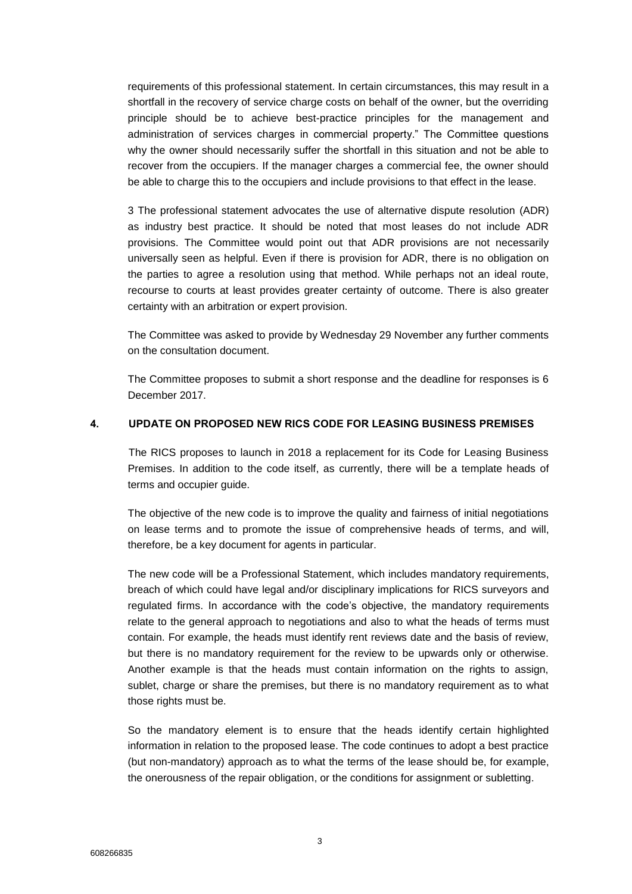requirements of this professional statement. In certain circumstances, this may result in a shortfall in the recovery of service charge costs on behalf of the owner, but the overriding principle should be to achieve best-practice principles for the management and administration of services charges in commercial property." The Committee questions why the owner should necessarily suffer the shortfall in this situation and not be able to recover from the occupiers. If the manager charges a commercial fee, the owner should be able to charge this to the occupiers and include provisions to that effect in the lease.

3 The professional statement advocates the use of alternative dispute resolution (ADR) as industry best practice. It should be noted that most leases do not include ADR provisions. The Committee would point out that ADR provisions are not necessarily universally seen as helpful. Even if there is provision for ADR, there is no obligation on the parties to agree a resolution using that method. While perhaps not an ideal route, recourse to courts at least provides greater certainty of outcome. There is also greater certainty with an arbitration or expert provision.

The Committee was asked to provide by Wednesday 29 November any further comments on the consultation document.

The Committee proposes to submit a short response and the deadline for responses is 6 December 2017.

#### **4. UPDATE ON PROPOSED NEW RICS CODE FOR LEASING BUSINESS PREMISES**

The RICS proposes to launch in 2018 a replacement for its Code for Leasing Business Premises. In addition to the code itself, as currently, there will be a template heads of terms and occupier guide.

The objective of the new code is to improve the quality and fairness of initial negotiations on lease terms and to promote the issue of comprehensive heads of terms, and will, therefore, be a key document for agents in particular.

The new code will be a Professional Statement, which includes mandatory requirements, breach of which could have legal and/or disciplinary implications for RICS surveyors and regulated firms. In accordance with the code's objective, the mandatory requirements relate to the general approach to negotiations and also to what the heads of terms must contain. For example, the heads must identify rent reviews date and the basis of review, but there is no mandatory requirement for the review to be upwards only or otherwise. Another example is that the heads must contain information on the rights to assign, sublet, charge or share the premises, but there is no mandatory requirement as to what those rights must be.

So the mandatory element is to ensure that the heads identify certain highlighted information in relation to the proposed lease. The code continues to adopt a best practice (but non-mandatory) approach as to what the terms of the lease should be, for example, the onerousness of the repair obligation, or the conditions for assignment or subletting.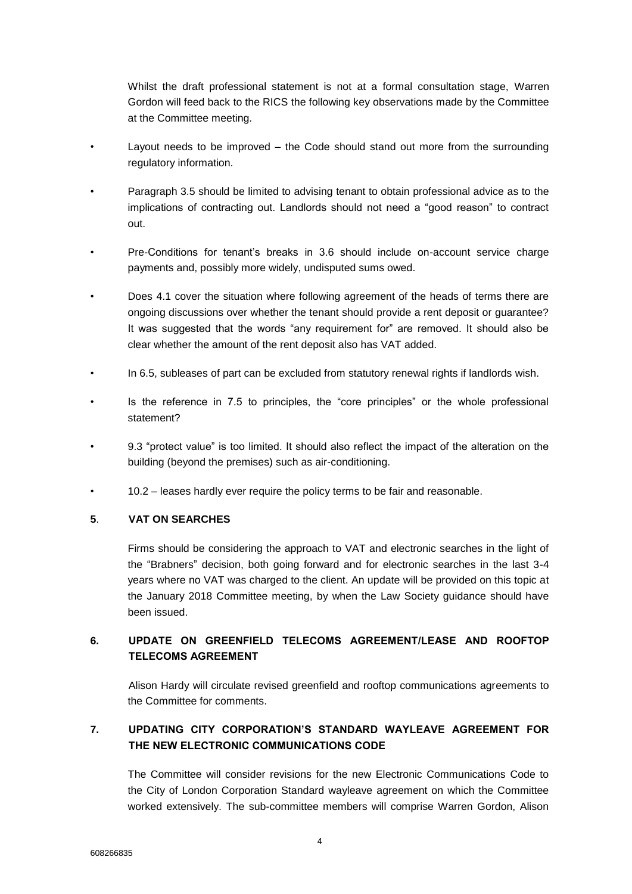Whilst the draft professional statement is not at a formal consultation stage, Warren Gordon will feed back to the RICS the following key observations made by the Committee at the Committee meeting.

- Layout needs to be improved the Code should stand out more from the surrounding regulatory information.
- Paragraph 3.5 should be limited to advising tenant to obtain professional advice as to the implications of contracting out. Landlords should not need a "good reason" to contract out.
- Pre-Conditions for tenant's breaks in 3.6 should include on-account service charge payments and, possibly more widely, undisputed sums owed.
- Does 4.1 cover the situation where following agreement of the heads of terms there are ongoing discussions over whether the tenant should provide a rent deposit or guarantee? It was suggested that the words "any requirement for" are removed. It should also be clear whether the amount of the rent deposit also has VAT added.
- In 6.5, subleases of part can be excluded from statutory renewal rights if landlords wish.
- Is the reference in 7.5 to principles, the "core principles" or the whole professional statement?
- 9.3 "protect value" is too limited. It should also reflect the impact of the alteration on the building (beyond the premises) such as air-conditioning.
- 10.2 leases hardly ever require the policy terms to be fair and reasonable.

### **5**. **VAT ON SEARCHES**

Firms should be considering the approach to VAT and electronic searches in the light of the "Brabners" decision, both going forward and for electronic searches in the last 3-4 years where no VAT was charged to the client. An update will be provided on this topic at the January 2018 Committee meeting, by when the Law Society guidance should have been issued.

# **6. UPDATE ON GREENFIELD TELECOMS AGREEMENT/LEASE AND ROOFTOP TELECOMS AGREEMENT**

Alison Hardy will circulate revised greenfield and rooftop communications agreements to the Committee for comments.

# **7. UPDATING CITY CORPORATION'S STANDARD WAYLEAVE AGREEMENT FOR THE NEW ELECTRONIC COMMUNICATIONS CODE**

The Committee will consider revisions for the new Electronic Communications Code to the City of London Corporation Standard wayleave agreement on which the Committee worked extensively. The sub-committee members will comprise Warren Gordon, Alison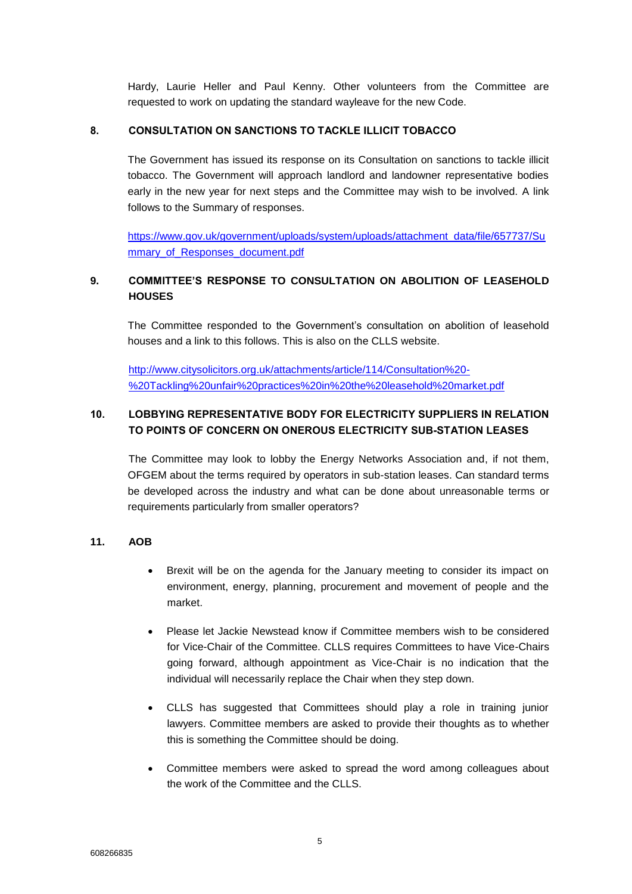Hardy, Laurie Heller and Paul Kenny. Other volunteers from the Committee are requested to work on updating the standard wayleave for the new Code.

### **8. CONSULTATION ON SANCTIONS TO TACKLE ILLICIT TOBACCO**

The Government has issued its response on its Consultation on sanctions to tackle illicit tobacco. The Government will approach landlord and landowner representative bodies early in the new year for next steps and the Committee may wish to be involved. A link follows to the Summary of responses.

[https://www.gov.uk/government/uploads/system/uploads/attachment\\_data/file/657737/Su](https://www.gov.uk/government/uploads/system/uploads/attachment_data/file/657737/Summary_of_Responses_document.pdf) mmary of Responses document.pdf

# **9. COMMITTEE'S RESPONSE TO CONSULTATION ON ABOLITION OF LEASEHOLD HOUSES**

The Committee responded to the Government's consultation on abolition of leasehold houses and a link to this follows. This is also on the CLLS website.

[http://www.citysolicitors.org.uk/attachments/article/114/Consultation%20-](http://www.citysolicitors.org.uk/attachments/article/114/Consultation%20-%20Tackling%20unfair%20practices%20in%20the%20leasehold%20market.pdf) [%20Tackling%20unfair%20practices%20in%20the%20leasehold%20market.pdf](http://www.citysolicitors.org.uk/attachments/article/114/Consultation%20-%20Tackling%20unfair%20practices%20in%20the%20leasehold%20market.pdf)

# **10. LOBBYING REPRESENTATIVE BODY FOR ELECTRICITY SUPPLIERS IN RELATION TO POINTS OF CONCERN ON ONEROUS ELECTRICITY SUB-STATION LEASES**

The Committee may look to lobby the Energy Networks Association and, if not them, OFGEM about the terms required by operators in sub-station leases. Can standard terms be developed across the industry and what can be done about unreasonable terms or requirements particularly from smaller operators?

### **11. AOB**

- Brexit will be on the agenda for the January meeting to consider its impact on environment, energy, planning, procurement and movement of people and the market.
- Please let Jackie Newstead know if Committee members wish to be considered for Vice-Chair of the Committee. CLLS requires Committees to have Vice-Chairs going forward, although appointment as Vice-Chair is no indication that the individual will necessarily replace the Chair when they step down.
- CLLS has suggested that Committees should play a role in training junior lawyers. Committee members are asked to provide their thoughts as to whether this is something the Committee should be doing.
- Committee members were asked to spread the word among colleagues about the work of the Committee and the CLLS.